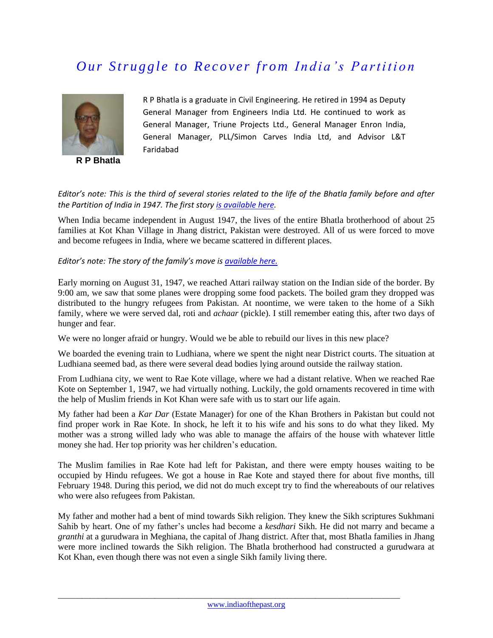## *<u>Our Struggle to Recover from India's Partition</u>*



**R P Bhatla**

R P Bhatla is a graduate in Civil Engineering. He retired in 1994 as Deputy General Manager from Engineers India Ltd. He continued to work as General Manager, Triune Projects Ltd., General Manager Enron India, General Manager, PLL/Simon Carves India Ltd, and Advisor L&T Faridabad

## *Editor's note: This is the third of several stories related to the life of the Bhatla family before and after the Partition of India in 1947. The first story [is available here.](http://www.indiaofthepast.org/contribute-memories/read-contributions/life-back-then/271-a-prosperous-and-peaceful-village-life-pre-partition)*

When India became independent in August 1947, the lives of the entire Bhatla brotherhood of about 25 families at Kot Khan Village in Jhang district, Pakistan were destroyed. All of us were forced to move and become refugees in India, where we became scattered in different places.

*Editor's note: The story of the family's move is <i>[available here.](http://www.indiaofthepast.org/contribute-memories/read-contributions/major-events-pre-1950/270-from-kot-khan-pakistan-to-success-in-india-1947-57)* 

[E](http://www.indiaofthepast.org/contribute-memories/read-contributions/major-events-pre-1950/270-from-kot-khan-pakistan-to-success-in-india-1947-57)arly morning on August 31, 1947, we reached Attari railway station on the Indian side of the border. By 9:00 am, we saw that some planes were dropping some food packets. The boiled gram they dropped was distributed to the hungry refugees from Pakistan. At noontime, we were taken to the home of a Sikh family, where we were served dal, roti and *achaar* (pickle). I still remember eating this, after two days of hunger and fear.

We were no longer afraid or hungry. Would we be able to rebuild our lives in this new place?

We boarded the evening train to Ludhiana, where we spent the night near District courts. The situation at Ludhiana seemed bad, as there were several dead bodies lying around outside the railway station.

From Ludhiana city, we went to Rae Kote village, where we had a distant relative. When we reached Rae Kote on September 1, 1947, we had virtually nothing. Luckily, the gold ornaments recovered in time with the help of Muslim friends in Kot Khan were safe with us to start our life again.

My father had been a *Kar Dar* (Estate Manager) for one of the Khan Brothers in Pakistan but could not find proper work in Rae Kote. In shock, he left it to his wife and his sons to do what they liked. My mother was a strong willed lady who was able to manage the affairs of the house with whatever little money she had. Her top priority was her children's education.

The Muslim families in Rae Kote had left for Pakistan, and there were empty houses waiting to be occupied by Hindu refugees. We got a house in Rae Kote and stayed there for about five months, till February 1948. During this period, we did not do much except try to find the whereabouts of our relatives who were also refugees from Pakistan.

My father and mother had a bent of mind towards Sikh religion. They knew the Sikh scriptures Sukhmani Sahib by heart. One of my father's uncles had become a *kesdhari* Sikh. He did not marry and became a *granthi* at a gurudwara in Meghiana, the capital of Jhang district. After that, most Bhatla families in Jhang were more inclined towards the Sikh religion. The Bhatla brotherhood had constructed a gurudwara at Kot Khan, even though there was not even a single Sikh family living there.

 $\_$  ,  $\_$  ,  $\_$  ,  $\_$  ,  $\_$  ,  $\_$  ,  $\_$  ,  $\_$  ,  $\_$  ,  $\_$  ,  $\_$  ,  $\_$  ,  $\_$  ,  $\_$  ,  $\_$  ,  $\_$  ,  $\_$  ,  $\_$  ,  $\_$  ,  $\_$  ,  $\_$  ,  $\_$  ,  $\_$  ,  $\_$  ,  $\_$  ,  $\_$  ,  $\_$  ,  $\_$  ,  $\_$  ,  $\_$  ,  $\_$  ,  $\_$  ,  $\_$  ,  $\_$  ,  $\_$  ,  $\_$  ,  $\_$  ,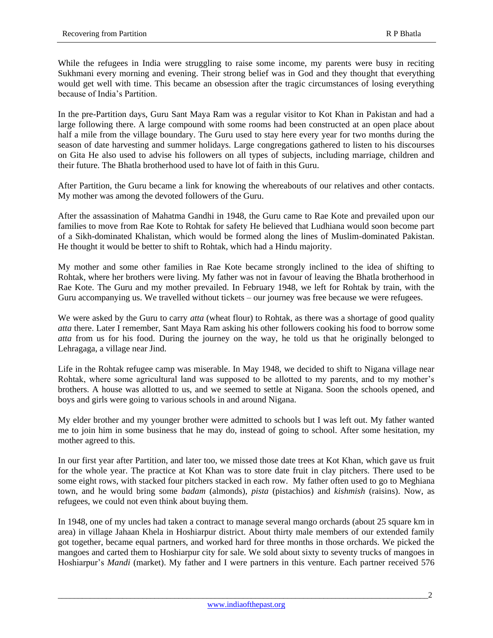While the refugees in India were struggling to raise some income, my parents were busy in reciting Sukhmani every morning and evening. Their strong belief was in God and they thought that everything would get well with time. This became an obsession after the tragic circumstances of losing everything because of India's Partition.

In the pre-Partition days, Guru Sant Maya Ram was a regular visitor to Kot Khan in Pakistan and had a large following there. A large compound with some rooms had been constructed at an open place about half a mile from the village boundary. The Guru used to stay here every year for two months during the season of date harvesting and summer holidays. Large congregations gathered to listen to his discourses on Gita He also used to advise his followers on all types of subjects, including marriage, children and their future. The Bhatla brotherhood used to have lot of faith in this Guru.

After Partition, the Guru became a link for knowing the whereabouts of our relatives and other contacts. My mother was among the devoted followers of the Guru.

After the assassination of Mahatma Gandhi in 1948, the Guru came to Rae Kote and prevailed upon our families to move from Rae Kote to Rohtak for safety He believed that Ludhiana would soon become part of a Sikh-dominated Khalistan, which would be formed along the lines of Muslim-dominated Pakistan. He thought it would be better to shift to Rohtak, which had a Hindu majority.

My mother and some other families in Rae Kote became strongly inclined to the idea of shifting to Rohtak, where her brothers were living. My father was not in favour of leaving the Bhatla brotherhood in Rae Kote. The Guru and my mother prevailed. In February 1948, we left for Rohtak by train, with the Guru accompanying us. We travelled without tickets – our journey was free because we were refugees.

We were asked by the Guru to carry *atta* (wheat flour) to Rohtak, as there was a shortage of good quality *atta* there. Later I remember, Sant Maya Ram asking his other followers cooking his food to borrow some *atta* from us for his food. During the journey on the way, he told us that he originally belonged to Lehragaga, a village near Jind.

Life in the Rohtak refugee camp was miserable. In May 1948, we decided to shift to Nigana village near Rohtak, where some agricultural land was supposed to be allotted to my parents, and to my mother's brothers. A house was allotted to us, and we seemed to settle at Nigana. Soon the schools opened, and boys and girls were going to various schools in and around Nigana.

My elder brother and my younger brother were admitted to schools but I was left out. My father wanted me to join him in some business that he may do, instead of going to school. After some hesitation, my mother agreed to this.

In our first year after Partition, and later too, we missed those date trees at Kot Khan, which gave us fruit for the whole year. The practice at Kot Khan was to store date fruit in clay pitchers. There used to be some eight rows, with stacked four pitchers stacked in each row. My father often used to go to Meghiana town, and he would bring some *badam* (almonds), *pista* (pistachios) and *kishmish* (raisins). Now, as refugees, we could not even think about buying them.

In 1948, one of my uncles had taken a contract to manage several mango orchards (about 25 square km in area) in village Jahaan Khela in Hoshiarpur district. About thirty male members of our extended family got together, became equal partners, and worked hard for three months in those orchards. We picked the mangoes and carted them to Hoshiarpur city for sale. We sold about sixty to seventy trucks of mangoes in Hoshiarpur's *Mandi* (market). My father and I were partners in this venture. Each partner received 576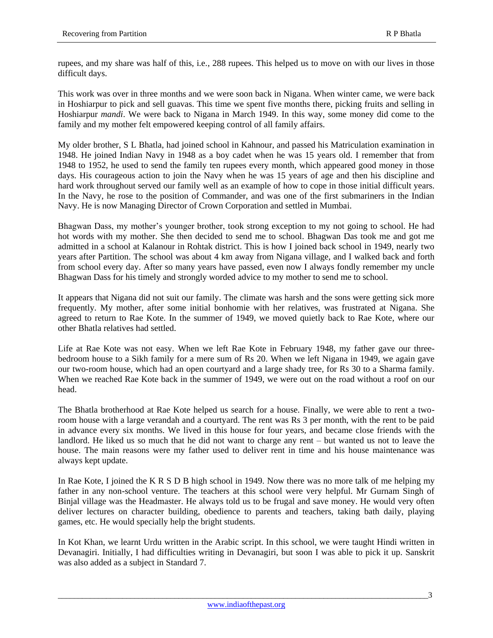rupees, and my share was half of this, i.e., 288 rupees. This helped us to move on with our lives in those difficult days.

This work was over in three months and we were soon back in Nigana. When winter came, we were back in Hoshiarpur to pick and sell guavas. This time we spent five months there, picking fruits and selling in Hoshiarpur *mandi*. We were back to Nigana in March 1949. In this way, some money did come to the family and my mother felt empowered keeping control of all family affairs.

My older brother, S L Bhatla, had joined school in Kahnour, and passed his Matriculation examination in 1948. He joined Indian Navy in 1948 as a boy cadet when he was 15 years old. I remember that from 1948 to 1952, he used to send the family ten rupees every month, which appeared good money in those days. His courageous action to join the Navy when he was 15 years of age and then his discipline and hard work throughout served our family well as an example of how to cope in those initial difficult years. In the Navy, he rose to the position of Commander, and was one of the first submariners in the Indian Navy. He is now Managing Director of Crown Corporation and settled in Mumbai.

Bhagwan Dass, my mother's younger brother, took strong exception to my not going to school. He had hot words with my mother. She then decided to send me to school. Bhagwan Das took me and got me admitted in a school at Kalanour in Rohtak district. This is how I joined back school in 1949, nearly two years after Partition. The school was about 4 km away from Nigana village, and I walked back and forth from school every day. After so many years have passed, even now I always fondly remember my uncle Bhagwan Dass for his timely and strongly worded advice to my mother to send me to school.

It appears that Nigana did not suit our family. The climate was harsh and the sons were getting sick more frequently. My mother, after some initial bonhomie with her relatives, was frustrated at Nigana. She agreed to return to Rae Kote. In the summer of 1949, we moved quietly back to Rae Kote, where our other Bhatla relatives had settled.

Life at Rae Kote was not easy. When we left Rae Kote in February 1948, my father gave our threebedroom house to a Sikh family for a mere sum of Rs 20. When we left Nigana in 1949, we again gave our two-room house, which had an open courtyard and a large shady tree, for Rs 30 to a Sharma family. When we reached Rae Kote back in the summer of 1949, we were out on the road without a roof on our head.

The Bhatla brotherhood at Rae Kote helped us search for a house. Finally, we were able to rent a tworoom house with a large verandah and a courtyard. The rent was Rs 3 per month, with the rent to be paid in advance every six months. We lived in this house for four years, and became close friends with the landlord. He liked us so much that he did not want to charge any rent – but wanted us not to leave the house. The main reasons were my father used to deliver rent in time and his house maintenance was always kept update.

In Rae Kote, I joined the K R S D B high school in 1949. Now there was no more talk of me helping my father in any non-school venture. The teachers at this school were very helpful. Mr Gurnam Singh of Binjal village was the Headmaster. He always told us to be frugal and save money. He would very often deliver lectures on character building, obedience to parents and teachers, taking bath daily, playing games, etc. He would specially help the bright students.

In Kot Khan, we learnt Urdu written in the Arabic script. In this school, we were taught Hindi written in Devanagiri. Initially, I had difficulties writing in Devanagiri, but soon I was able to pick it up. Sanskrit was also added as a subject in Standard 7.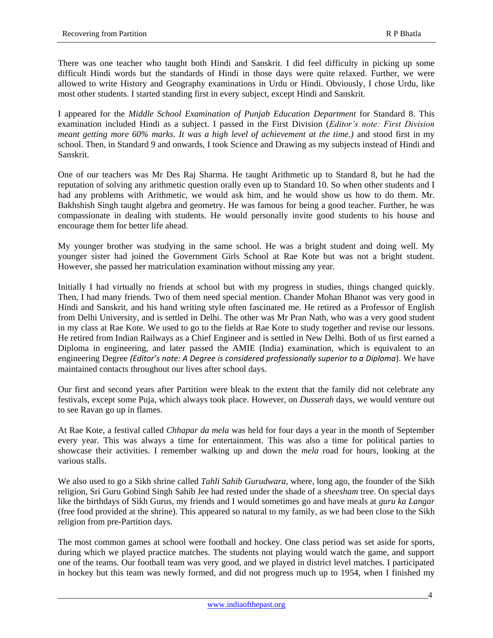There was one teacher who taught both Hindi and Sanskrit. I did feel difficulty in picking up some difficult Hindi words but the standards of Hindi in those days were quite relaxed. Further, we were allowed to write History and Geography examinations in Urdu or Hindi. Obviously, I chose Urdu, like most other students. I started standing first in every subject, except Hindi and Sanskrit.

I appeared for the *Middle School Examination of Punjab Education Department* for Standard 8. This examination included Hindi as a subject. I passed in the First Division (*Editor's note: First Division meant getting more 60% marks. It was a high level of achievement at the time.)* and stood first in my school. Then, in Standard 9 and onwards, I took Science and Drawing as my subjects instead of Hindi and Sanskrit.

One of our teachers was Mr Des Raj Sharma. He taught Arithmetic up to Standard 8, but he had the reputation of solving any arithmetic question orally even up to Standard 10. So when other students and I had any problems with Arithmetic, we would ask him, and he would show us how to do them. Mr. Bakhshish Singh taught algebra and geometry. He was famous for being a good teacher. Further, he was compassionate in dealing with students. He would personally invite good students to his house and encourage them for better life ahead.

My younger brother was studying in the same school. He was a bright student and doing well. My younger sister had joined the Government Girls School at Rae Kote but was not a bright student. However, she passed her matriculation examination without missing any year.

Initially I had virtually no friends at school but with my progress in studies, things changed quickly. Then, I had many friends. Two of them need special mention. Chander Mohan Bhanot was very good in Hindi and Sanskrit, and his hand writing style often fascinated me. He retired as a Professor of English from Delhi University, and is settled in Delhi. The other was Mr Pran Nath, who was a very good student in my class at Rae Kote. We used to go to the fields at Rae Kote to study together and revise our lessons. He retired from Indian Railways as a Chief Engineer and is settled in New Delhi. Both of us first earned a Diploma in engineering, and later passed the AMIE (India) examination, which is equivalent to an engineering Degree *(Editor's note: A Degree is considered professionally superior to a Diploma*). We have maintained contacts throughout our lives after school days.

Our first and second years after Partition were bleak to the extent that the family did not celebrate any festivals, except some Puja, which always took place. However, on *Dusserah* days, we would venture out to see Ravan go up in flames.

At Rae Kote, a festival called *Chhapar da mela* was held for four days a year in the month of September every year. This was always a time for entertainment. This was also a time for political parties to showcase their activities. I remember walking up and down the *mela* road for hours, looking at the various stalls.

We also used to go a Sikh shrine called *Tahli Sahib Gurudwara*, where, long ago, the founder of the Sikh religion, Sri Guru Gobind Singh Sahib Jee had rested under the shade of a *sheesham* tree. On special days like the birthdays of Sikh Gurus, my friends and I would sometimes go and have meals at *guru ka Langar* (free food provided at the shrine). This appeared so natural to my family, as we had been close to the Sikh religion from pre-Partition days.

The most common games at school were football and hockey. One class period was set aside for sports, during which we played practice matches. The students not playing would watch the game, and support one of the teams. Our football team was very good, and we played in district level matches. I participated in hockey but this team was newly formed, and did not progress much up to 1954, when I finished my